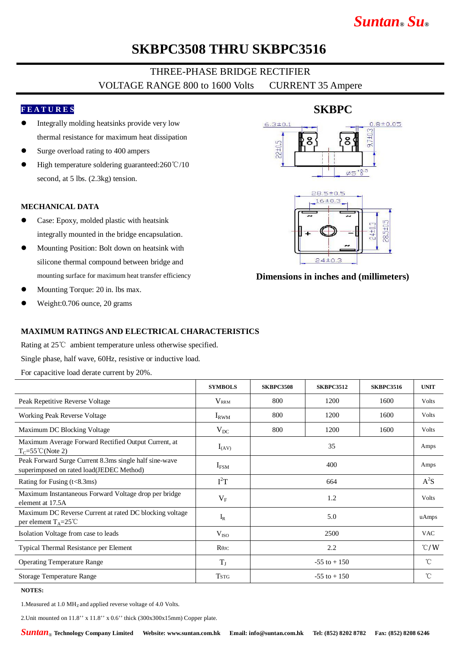# *Suntan***®** *Su***®**

## **SKBPC3508 THRU SKBPC3516**

## THREE-PHASE BRIDGE RECTIFIER VOLTAGE RANGE 800 to 1600 Volts CURRENT 35 Ampere

#### **F E A T U R E S**

- l Integrally molding heatsinks provide very low thermal resistance for maximum heat dissipation
- Surge overload rating to 400 ampers
- High temperature soldering guaranteed:260℃/10 second, at 5 lbs. (2.3kg) tension.

#### **MECHANICAL DATA**

- Case: Epoxy, molded plastic with heatsink integrally mounted in the bridge encapsulation.
- Mounting Position: Bolt down on heatsink with silicone thermal compound between bridge and mounting surface for maximum heat transfer efficiency
- Mounting Torque: 20 in. lbs max.
- l Weight:0.706 ounce, 20 grams

# $0.8 + 0.05$  $6.3 \pm 0.1$  $9.710$  $8<sup>°</sup>$  $\phi5^{+0.3}$  $28.5 \pm 0.5$  $16±0.3$  $28.5 + 0$

**SKBPC**

#### **Dimensions in inches and (millimeters)**

#### **MAXIMUM RATINGS AND ELECTRICAL CHARACTERISTICS**

Rating at 25℃ ambient temperature unless otherwise specified. Single phase, half wave, 60Hz, resistive or inductive load. For capacitive load derate current by 20%.

|                                                                                                    | <b>SYMBOLS</b>          | <b>SKBPC3508</b> | <b>SKBPC3512</b> | <b>SKBPC3516</b> | <b>UNIT</b>   |
|----------------------------------------------------------------------------------------------------|-------------------------|------------------|------------------|------------------|---------------|
| Peak Repetitive Reverse Voltage                                                                    | <b>V</b> <sub>RRM</sub> | 800              | 1200             | 1600             | <b>Volts</b>  |
| Working Peak Reverse Voltage                                                                       | $I_{RWM}$               | 800              | 1200             | 1600             | Volts         |
| Maximum DC Blocking Voltage                                                                        | $V_{DC}$                | 800              | 1200             | 1600             | <b>Volts</b>  |
| Maximum Average Forward Rectified Output Current, at<br>$T_c = 55^{\circ}$ C(Note 2)               | $I_{(AV)}$              | 35               |                  |                  | Amps          |
| Peak Forward Surge Current 8.3ms single half sine-wave<br>superimposed on rated load(JEDEC Method) | $\rm I_{FSM}$           | 400              |                  |                  | Amps          |
| Rating for Fusing $(t<8.3ms)$                                                                      | $I^2T$                  | 664              |                  |                  | $A^2S$        |
| Maximum Instantaneous Forward Voltage drop per bridge<br>element at 17.5A                          | $V_{F}$                 | 1.2              |                  |                  | <b>Volts</b>  |
| Maximum DC Reverse Current at rated DC blocking voltage<br>per element $T_A = 25^{\circ}C$         | $I_R$                   | 5.0              |                  |                  | uAmps         |
| Isolation Voltage from case to leads                                                               | V <sub>ISO</sub>        | 2500             |                  |                  | <b>VAC</b>    |
| Typical Thermal Resistance per Element                                                             | $R\theta$ JC            | 2.2              |                  |                  | $\degree$ C/W |
| <b>Operating Temperature Range</b>                                                                 | $T_{J}$                 | $-55$ to $+150$  |                  |                  | $^{\circ}$ C  |
| Storage Temperature Range                                                                          | <b>TSTG</b>             | $-55$ to $+150$  |                  |                  | $^{\circ}$ C  |

**NOTES:**

1. Measured at 1.0 MH<sub>z</sub> and applied reverse voltage of 4.0 Volts.

2.Unit mounted on 11.8'' x 11.8'' x 0.6'' thick (300x300x15mm) Copper plate.